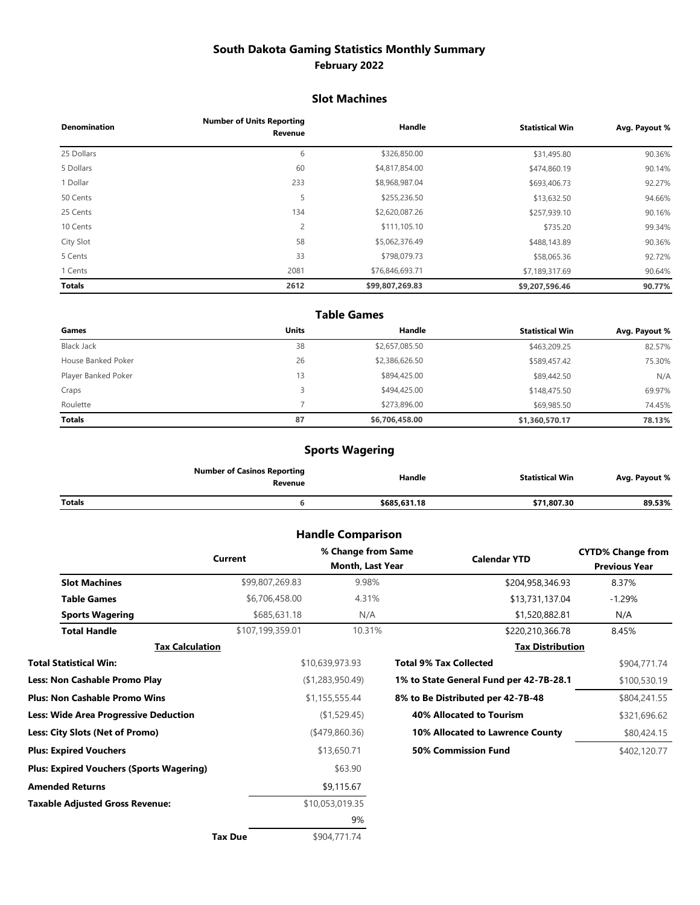# **South Dakota Gaming Statistics Monthly Summary February 2022**

#### **Slot Machines**

| <b>Denomination</b> | <b>Number of Units Reporting</b><br>Revenue | Handle          | <b>Statistical Win</b> | Avg. Payout % |
|---------------------|---------------------------------------------|-----------------|------------------------|---------------|
| 25 Dollars          | 6                                           | \$326,850.00    | \$31,495.80            | 90.36%        |
| 5 Dollars           | 60                                          | \$4,817,854.00  | \$474,860.19           | 90.14%        |
| 1 Dollar            | 233                                         | \$8,968,987.04  | \$693,406.73           | 92.27%        |
| 50 Cents            | 5                                           | \$255,236.50    | \$13,632.50            | 94.66%        |
| 25 Cents            | 134                                         | \$2,620,087.26  | \$257,939.10           | 90.16%        |
| 10 Cents            | $\overline{c}$                              | \$111,105.10    | \$735.20               | 99.34%        |
| City Slot           | 58                                          | \$5,062,376.49  | \$488,143.89           | 90.36%        |
| 5 Cents             | 33                                          | \$798.079.73    | \$58,065.36            | 92.72%        |
| 1 Cents             | 2081                                        | \$76,846,693.71 | \$7,189,317.69         | 90.64%        |
| <b>Totals</b>       | 2612                                        | \$99,807,269.83 | \$9,207,596.46         | 90.77%        |

#### **Table Games**

| Games               | <b>Units</b> | Handle         | <b>Statistical Win</b> | Avg. Payout % |
|---------------------|--------------|----------------|------------------------|---------------|
| Black Jack          | 38           | \$2,657,085.50 | \$463,209.25           | 82.57%        |
| House Banked Poker  | 26           | \$2,386,626.50 | \$589,457.42           | 75.30%        |
| Player Banked Poker | 13           | \$894,425.00   | \$89,442.50            | N/A           |
| Craps               |              | \$494,425.00   | \$148,475.50           | 69.97%        |
| Roulette            |              | \$273,896.00   | \$69,985.50            | 74.45%        |
| <b>Totals</b>       | 87           | \$6,706,458.00 | \$1,360,570.17         | 78.13%        |

# **Sports Wagering**

|        | <b>Number of Casinos Reporting</b><br>Revenue | Handle       | Statistical Win | Avg. Payout % |
|--------|-----------------------------------------------|--------------|-----------------|---------------|
| Totals |                                               | \$685,631.18 | \$71,807.30     | 89.53%        |

# **Handle Comparison**

|                                          | Current          | % Change from Same<br>Month, Last Year | <b>Calendar YTD</b>                     | <b>CYTD% Change from</b><br><b>Previous Year</b> |
|------------------------------------------|------------------|----------------------------------------|-----------------------------------------|--------------------------------------------------|
| <b>Slot Machines</b>                     | \$99,807,269.83  | 9.98%                                  | \$204,958,346.93                        | 8.37%                                            |
| <b>Table Games</b>                       | \$6,706,458.00   | 4.31%                                  | \$13,731,137.04                         | $-1.29%$                                         |
| <b>Sports Wagering</b>                   | \$685,631.18     | N/A                                    | \$1,520,882.81                          | N/A                                              |
| <b>Total Handle</b>                      | \$107,199,359.01 | 10.31%                                 | \$220,210,366.78                        | 8.45%                                            |
| <b>Tax Calculation</b>                   |                  |                                        | <b>Tax Distribution</b>                 |                                                  |
| Total Statistical Win:                   |                  | \$10,639,973.93                        | <b>Total 9% Tax Collected</b>           | \$904,771.74                                     |
| <b>Less: Non Cashable Promo Play</b>     |                  | (\$1,283,950.49)                       | 1% to State General Fund per 42-7B-28.1 | \$100,530.19                                     |
| <b>Plus: Non Cashable Promo Wins</b>     |                  | \$1,155,555.44                         | 8% to Be Distributed per 42-7B-48       | \$804,241.55                                     |
| Less: Wide Area Progressive Deduction    |                  | (\$1,529.45)                           | <b>40% Allocated to Tourism</b>         | \$321,696.62                                     |
| Less: City Slots (Net of Promo)          |                  | $($ \$479,860.36)                      | 10% Allocated to Lawrence County        | \$80,424.15                                      |
| <b>Plus: Expired Vouchers</b>            |                  | \$13,650.71                            | <b>50% Commission Fund</b>              | \$402,120.77                                     |
| Plus: Expired Vouchers (Sports Wagering) |                  | \$63.90                                |                                         |                                                  |
| Amended Returns                          |                  | \$9,115.67                             |                                         |                                                  |
| Taxable Adjusted Gross Revenue:          |                  | \$10,053,019.35                        |                                         |                                                  |
|                                          |                  | 9%                                     |                                         |                                                  |
|                                          | <b>Tax Due</b>   | \$904,771.74                           |                                         |                                                  |